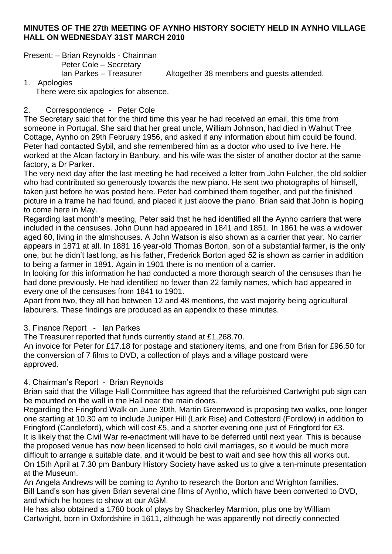#### **MINUTES OF THE 27th MEETING OF AYNHO HISTORY SOCIETY HELD IN AYNHO VILLAGE HALL ON WEDNESDAY 31ST MARCH 2010**

Present: – Brian Reynolds - Chairman

Peter Cole – Secretary

Ian Parkes – Treasurer Altogether 38 members and guests attended.

1. Apologies There were six apologies for absence.

### 2. Correspondence - Peter Cole

The Secretary said that for the third time this year he had received an email, this time from someone in Portugal. She said that her great uncle, William Johnson, had died in Walnut Tree Cottage, Aynho on 29th February 1956, and asked if any information about him could be found. Peter had contacted Sybil, and she remembered him as a doctor who used to live here. He worked at the Alcan factory in Banbury, and his wife was the sister of another doctor at the same factory, a Dr Parker.

The very next day after the last meeting he had received a letter from John Fulcher, the old soldier who had contributed so generously towards the new piano. He sent two photographs of himself, taken just before he was posted here. Peter had combined them together, and put the finished picture in a frame he had found, and placed it just above the piano. Brian said that John is hoping to come here in May.

Regarding last month's meeting, Peter said that he had identified all the Aynho carriers that were included in the censuses. John Dunn had appeared in 1841 and 1851. In 1861 he was a widower aged 60, living in the almshouses. A John Watson is also shown as a carrier that year. No carrier appears in 1871 at all. In 1881 16 year-old Thomas Borton, son of a substantial farmer, is the only one, but he didn't last long, as his father, Frederick Borton aged 52 is shown as carrier in addition to being a farmer in 1891. Again in 1901 there is no mention of a carrier.

In looking for this information he had conducted a more thorough search of the censuses than he had done previously. He had identified no fewer than 22 family names, which had appeared in every one of the censuses from 1841 to 1901.

Apart from two, they all had between 12 and 48 mentions, the vast majority being agricultural labourers. These findings are produced as an appendix to these minutes.

3. Finance Report - Ian Parkes

The Treasurer reported that funds currently stand at £1,268.70.

An invoice for Peter for £17.18 for postage and stationery items, and one from Brian for £96.50 for the conversion of 7 films to DVD, a collection of plays and a village postcard were approved.

### 4. Chairman's Report - Brian Reynolds

Brian said that the Village Hall Committee has agreed that the refurbished Cartwright pub sign can be mounted on the wall in the Hall near the main doors.

Regarding the Fringford Walk on June 30th, Martin Greenwood is proposing two walks, one longer one starting at 10.30 am to include Juniper Hill (Lark Rise) and Cottesford (Fordlow) in addition to Fringford (Candleford), which will cost £5, and a shorter evening one just of Fringford for £3. It is likely that the Civil War re-enactment will have to be deferred until next year. This is because the proposed venue has now been licensed to hold civil marriages, so it would be much more difficult to arrange a suitable date, and it would be best to wait and see how this all works out. On 15th April at 7.30 pm Banbury History Society have asked us to give a ten-minute presentation at the Museum.

An Angela Andrews will be coming to Aynho to research the Borton and Wrighton families. Bill Land's son has given Brian several cine films of Aynho, which have been converted to DVD, and which he hopes to show at our AGM.

He has also obtained a 1780 book of plays by Shackerley Marmion, plus one by William Cartwright, born in Oxfordshire in 1611, although he was apparently not directly connected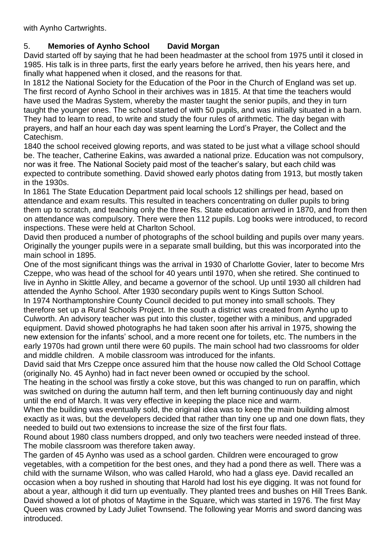with Aynho Cartwrights.

# 5. **Memories of Aynho School David Morgan**

David started off by saying that he had been headmaster at the school from 1975 until it closed in 1985. His talk is in three parts, first the early years before he arrived, then his years here, and finally what happened when it closed, and the reasons for that.

In 1812 the National Society for the Education of the Poor in the Church of England was set up. The first record of Aynho School in their archives was in 1815. At that time the teachers would have used the Madras System, whereby the master taught the senior pupils, and they in turn taught the younger ones. The school started of with 50 pupils, and was initially situated in a barn. They had to learn to read, to write and study the four rules of arithmetic. The day began with prayers, and half an hour each day was spent learning the Lord's Prayer, the Collect and the Catechism.

1840 the school received glowing reports, and was stated to be just what a village school should be. The teacher, Catherine Eakins, was awarded a national prize. Education was not compulsory, nor was it free. The National Society paid most of the teacher's salary, but each child was expected to contribute something. David showed early photos dating from 1913, but mostly taken in the 1930s.

In 1861 The State Education Department paid local schools 12 shillings per head, based on attendance and exam results. This resulted in teachers concentrating on duller pupils to bring them up to scratch, and teaching only the three Rs. State education arrived in 1870, and from then on attendance was compulsory. There were then 112 pupils. Log books were introduced, to record inspections. These were held at Charlton School.

David then produced a number of photographs of the school building and pupils over many years. Originally the younger pupils were in a separate small building, but this was incorporated into the main school in 1895.

One of the most significant things was the arrival in 1930 of Charlotte Govier, later to become Mrs Czeppe, who was head of the school for 40 years until 1970, when she retired. She continued to live in Aynho in Skittle Alley, and became a governor of the school. Up until 1930 all children had attended the Aynho School. After 1930 secondary pupils went to Kings Sutton School.

In 1974 Northamptonshire County Council decided to put money into small schools. They therefore set up a Rural Schools Project. In the south a district was created from Aynho up to Culworth. An advisory teacher was put into this cluster, together with a minibus, and upgraded equipment. David showed photographs he had taken soon after his arrival in 1975, showing the new extension for the infants' school, and a more recent one for toilets, etc. The numbers in the early 1970s had grown until there were 60 pupils. The main school had two classrooms for older and middle children. A mobile classroom was introduced for the infants.

David said that Mrs Czeppe once assured him that the house now called the Old School Cottage (originally No. 45 Aynho) had in fact never been owned or occupied by the school.

The heating in the school was firstly a coke stove, but this was changed to run on paraffin, which was switched on during the autumn half term, and then left burning continuously day and night until the end of March. It was very effective in keeping the place nice and warm.

When the building was eventually sold, the original idea was to keep the main building almost exactly as it was, but the developers decided that rather than tiny one up and one down flats, they needed to build out two extensions to increase the size of the first four flats.

Round about 1980 class numbers dropped, and only two teachers were needed instead of three. The mobile classroom was therefore taken away.

The garden of 45 Aynho was used as a school garden. Children were encouraged to grow vegetables, with a competition for the best ones, and they had a pond there as well. There was a child with the surname Wilson, who was called Harold, who had a glass eye. David recalled an occasion when a boy rushed in shouting that Harold had lost his eye digging. It was not found for about a year, although it did turn up eventually. They planted trees and bushes on Hill Trees Bank. David showed a lot of photos of Maytime in the Square, which was started in 1976. The first May Queen was crowned by Lady Juliet Townsend. The following year Morris and sword dancing was introduced.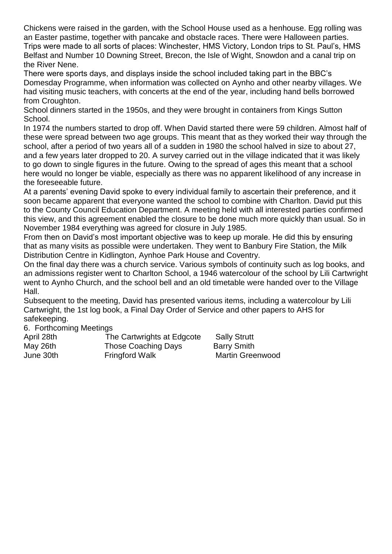Chickens were raised in the garden, with the School House used as a henhouse. Egg rolling was an Easter pastime, together with pancake and obstacle races. There were Halloween parties. Trips were made to all sorts of places: Winchester, HMS Victory, London trips to St. Paul's, HMS Belfast and Number 10 Downing Street, Brecon, the Isle of Wight, Snowdon and a canal trip on the River Nene.

There were sports days, and displays inside the school included taking part in the BBC's Domesday Programme, when information was collected on Aynho and other nearby villages. We had visiting music teachers, with concerts at the end of the year, including hand bells borrowed from Croughton.

School dinners started in the 1950s, and they were brought in containers from Kings Sutton School.

In 1974 the numbers started to drop off. When David started there were 59 children. Almost half of these were spread between two age groups. This meant that as they worked their way through the school, after a period of two years all of a sudden in 1980 the school halved in size to about 27, and a few years later dropped to 20. A survey carried out in the village indicated that it was likely to go down to single figures in the future. Owing to the spread of ages this meant that a school here would no longer be viable, especially as there was no apparent likelihood of any increase in the foreseeable future.

At a parents' evening David spoke to every individual family to ascertain their preference, and it soon became apparent that everyone wanted the school to combine with Charlton. David put this to the County Council Education Department. A meeting held with all interested parties confirmed this view, and this agreement enabled the closure to be done much more quickly than usual. So in November 1984 everything was agreed for closure in July 1985.

From then on David's most important objective was to keep up morale. He did this by ensuring that as many visits as possible were undertaken. They went to Banbury Fire Station, the Milk Distribution Centre in Kidlington, Aynhoe Park House and Coventry.

On the final day there was a church service. Various symbols of continuity such as log books, and an admissions register went to Charlton School, a 1946 watercolour of the school by Lili Cartwright went to Aynho Church, and the school bell and an old timetable were handed over to the Village Hall.

Subsequent to the meeting, David has presented various items, including a watercolour by Lili Cartwright, the 1st log book, a Final Day Order of Service and other papers to AHS for safekeeping.

6. Forthcoming Meetings

| April 28th | The Cartwrights at Edgcote | <b>Sally Strutt</b>     |
|------------|----------------------------|-------------------------|
| May 26th   | Those Coaching Days        | <b>Barry Smith</b>      |
| June 30th  | <b>Fringford Walk</b>      | <b>Martin Greenwood</b> |